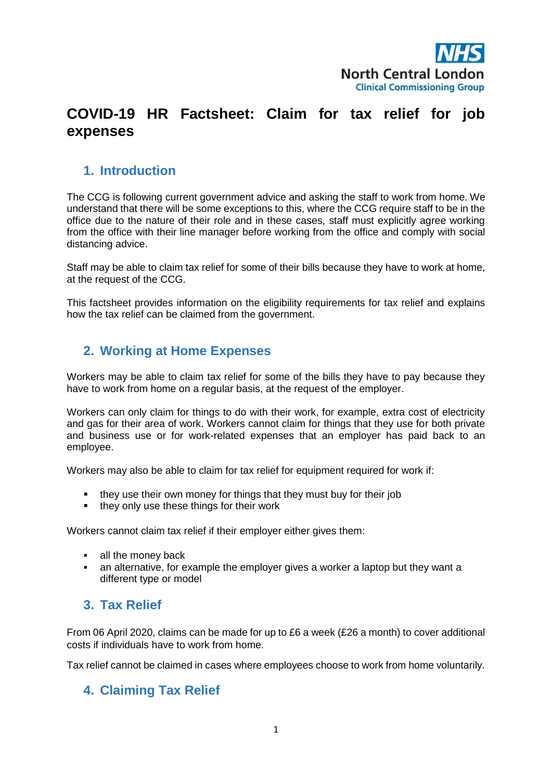

# **COVID-19 HR Factsheet: Claim for tax relief for job expenses**

# **1. Introduction**

The CCG is following current government advice and asking the staff to work from home. We understand that there will be some exceptions to this, where the CCG require staff to be in the office due to the nature of their role and in these cases, staff must explicitly agree working from the office with their line manager before working from the office and comply with social distancing advice.

Staff may be able to claim tax relief for some of their bills because they have to work at home, at the request of the CCG.

This factsheet provides information on the eligibility requirements for tax relief and explains how the tax relief can be claimed from the government.

## **2. Working at Home Expenses**

Workers may be able to claim tax relief for some of the bills they have to pay because they have to work from home on a regular basis, at the request of the employer.

Workers can only claim for things to do with their work, for example, extra cost of electricity and gas for their area of work. Workers cannot claim for things that they use for both private and business use or for work-related expenses that an employer has paid back to an employee.

Workers may also be able to claim for tax relief for equipment required for work if:

- they use their own money for things that they must buy for their job
- they only use these things for their work

Workers cannot claim tax relief if their employer either gives them:

- all the money back
- an alternative, for example the employer gives a worker a laptop but they want a different type or model

# **3. Tax Relief**

From 06 April 2020, claims can be made for up to £6 a week (£26 a month) to cover additional costs if individuals have to work from home.

Tax relief cannot be claimed in cases where employees choose to work from home voluntarily.

### **4. Claiming Tax Relief**